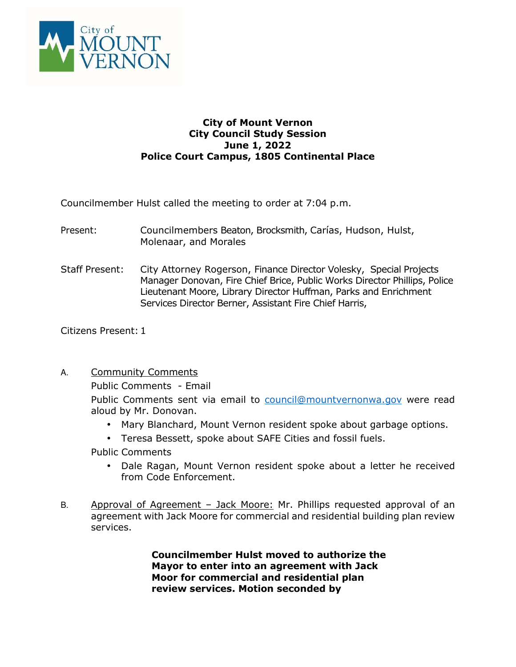

## **City of Mount Vernon City Council Study Session June 1, 2022 Police Court Campus, 1805 Continental Place**

Councilmember Hulst called the meeting to order at 7:04 p.m.

- Present: Councilmembers Beaton, Brocksmith, Carías, Hudson, Hulst, Molenaar, and Morales
- Staff Present: City Attorney Rogerson, Finance Director Volesky, Special Projects Manager Donovan, Fire Chief Brice, Public Works Director Phillips, Police Lieutenant Moore, Library Director Huffman, Parks and Enrichment Services Director Berner, Assistant Fire Chief Harris,

Citizens Present: 1

A. Community Comments

Public Comments - Email

Public Comments sent via email to council@mountvernonwa.gov were read aloud by Mr. Donovan.

- Mary Blanchard, Mount Vernon resident spoke about garbage options.
- Teresa Bessett, spoke about SAFE Cities and fossil fuels.

Public Comments

- Dale Ragan, Mount Vernon resident spoke about a letter he received from Code Enforcement.
- B. Approval of Agreement Jack Moore: Mr. Phillips requested approval of an agreement with Jack Moore for commercial and residential building plan review services.

**Councilmember Hulst moved to authorize the Mayor to enter into an agreement with Jack Moor for commercial and residential plan review services. Motion seconded by**